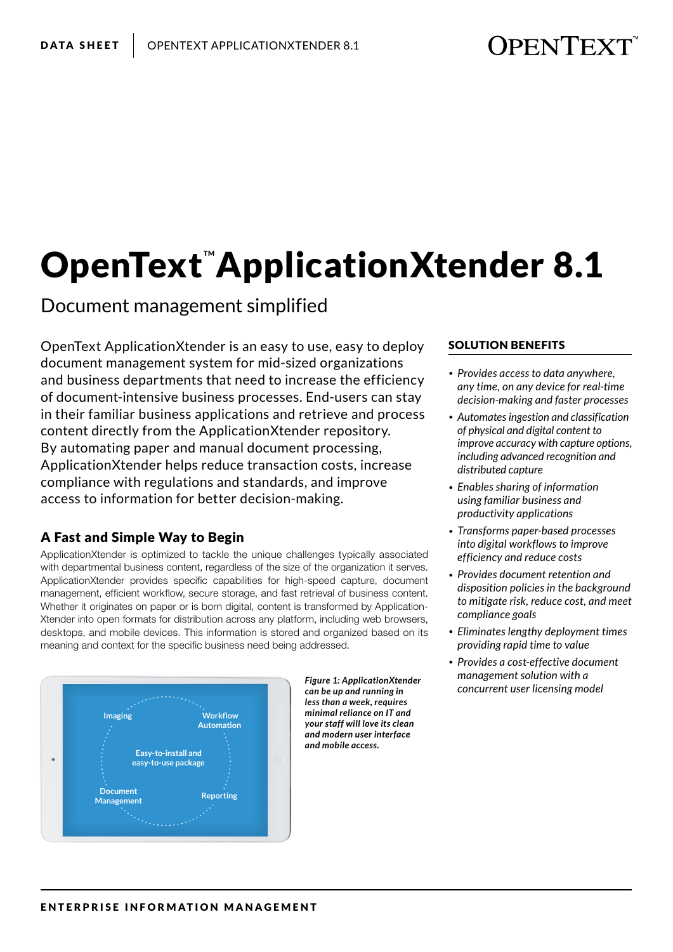# **OPENTEXT**

# **OpenText ApplicationXtender 8.1**

Document management simplified

OpenText ApplicationXtender is an easy to use, easy to deploy document management system for mid-sized organizations and business departments that need to increase the efficiency of document-intensive business processes. End-users can stay in their familiar business applications and retrieve and process content directly from the ApplicationXtender repository. By automating paper and manual document processing, ApplicationXtender helps reduce transaction costs, increase compliance with regulations and standards, and improve access to information for better decision-making.

# A Fast and Simple Way to Begin

ApplicationXtender is optimized to tackle the unique challenges typically associated with departmental business content, regardless of the size of the organization it serves. ApplicationXtender provides specific capabilities for high-speed capture, document management, efficient workflow, secure storage, and fast retrieval of business content. Whether it originates on paper or is born digital, content is transformed by Application-Xtender into open formats for distribution across any platform, including web browsers, desktops, and mobile devices. This information is stored and organized based on its meaning and context for the specific business need being addressed.



*Figure 1: ApplicationXtender can be up and running in less than a week, requires minimal reliance on IT and your staff will love its clean and modern user interface and mobile access.* 

## SOLUTION BENEFITS

- *• Provides access to data anywhere, any time, on any device for real-time decision-making and faster processes*
- *• Automates ingestion and classification of physical and digital content to improve accuracy with capture options, including advanced recognition and distributed capture*
- *• Enables sharing of information using familiar business and productivity applications*
- *• Transforms paper-based processes into digital workflows to improve efficiency and reduce costs*
- *• Provides document retention and disposition policies in the background to mitigate risk, reduce cost, and meet compliance goals*
- *• Eliminates lengthy deployment times providing rapid time to value*
- *• Provides a cost-effective document management solution with a concurrent user licensing model*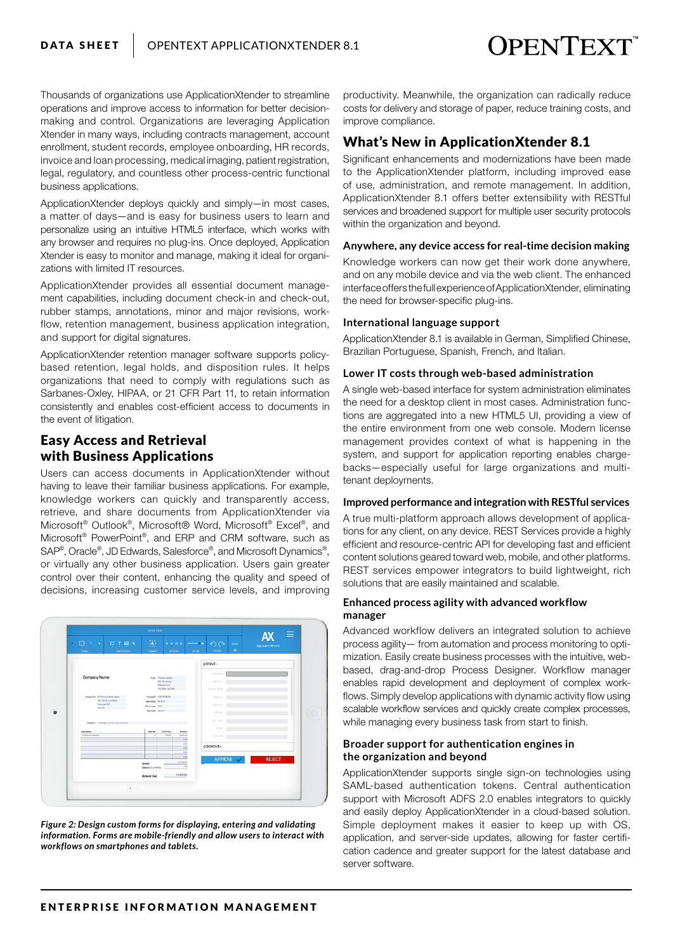# **OPENTEXT**

Thousands of organizations use ApplicationXtender to streamline operations and improve access to information for better decisionmaking and control. Organizations are leveraging Application Xtender in many ways, including contracts management, account enrollment, student records, employee onboarding, HR records, invoice and loan processing, medical imaging, patient registration, legal, regulatory, and countless other process-centric functional business applications.

ApplicationXtender deploys quickly and simply—in most cases, a matter of days—and is easy for business users to learn and personalize using an intuitive HTML5 interface, which works with any browser and requires no plug-ins. Once deployed, Application Xtender is easy to monitor and manage, making it ideal for organizations with limited IT resources.

ApplicationXtender provides all essential document management capabilities, including document check-in and check-out, rubber stamps, annotations, minor and major revisions, workflow, retention management, business application integration, and support for digital signatures.

ApplicationXtender retention manager software supports policybased retention, legal holds, and disposition rules. It helps organizations that need to comply with regulations such as Sarbanes-Oxley, HIPAA, or 21 CFR Part 11, to retain information consistently and enables cost-efficient access to documents in the event of litigation.

# Easy Access and Retrieval with Business Applications

Users can access documents in ApplicationXtender without having to leave their familiar business applications. For example, knowledge workers can quickly and transparently access, retrieve, and share documents from ApplicationXtender via Microsoft® Outlook® , Microsoft® Word, Microsoft® Excel® , and Microsoft® PowerPoint® , and ERP and CRM software, such as SAP®, Oracle®, JD Edwards, Salesforce®, and Microsoft Dynamics®, or virtually any other business application. Users gain greater control over their content, enhancing the quality and speed of decisions, increasing customer service levels, and improving



*Figure 2: Design custom forms for displaying, entering and validating information. Forms are mobile-friendly and allow users to interact with workflows on smartphones and tablets.*

productivity. Meanwhile, the organization can radically reduce costs for delivery and storage of paper, reduce training costs, and improve compliance.

# What's New in ApplicationXtender 8.1

Significant enhancements and modernizations have been made to the ApplicationXtender platform, including improved ease of use, administration, and remote management. In addition, ApplicationXtender 8.1 offers better extensibility with RESTful services and broadened support for multiple user security protocols within the organization and beyond.

#### **Anywhere, any device access for real-time decision making**

Knowledge workers can now get their work done anywhere, and on any mobile device and via the web client. The enhanced interface offers the full experience of ApplicationXtender, eliminating the need for browser-specific plug-ins.

#### **International language support**

ApplicationXtender 8.1 is available in German, Simplified Chinese, Brazilian Portuguese, Spanish, French, and Italian.

#### **Lower IT costs through web-based administration**

A single web-based interface for system administration eliminates the need for a desktop client in most cases. Administration functions are aggregated into a new HTML5 UI, providing a view of the entire environment from one web console. Modern license management provides context of what is happening in the system, and support for application reporting enables chargebacks—especially useful for large organizations and multitenant deployments.

#### **Improved performance and integration with RESTful services**

A true multi-platform approach allows development of applications for any client, on any device. REST Services provide a highly efficient and resource-centric API for developing fast and efficient content solutions geared toward web, mobile, and other platforms. REST services empower integrators to build lightweight, rich solutions that are easily maintained and scalable.

#### **Enhanced process agility with advanced workflow manager**

Advanced workflow delivers an integrated solution to achieve process agility— from automation and process monitoring to optimization. Easily create business processes with the intuitive, webbased, drag-and-drop Process Designer. Workflow manager enables rapid development and deployment of complex workflows. Simply develop applications with dynamic activity flow using scalable workflow services and quickly create complex processes, while managing every business task from start to finish.

#### **Broader support for authentication engines in the organization and beyond**

ApplicationXtender supports single sign-on technologies using SAML-based authentication tokens. Central authentication support with Microsoft ADFS 2.0 enables integrators to quickly and easily deploy ApplicationXtender in a cloud-based solution. Simple deployment makes it easier to keep up with OS, application, and server-side updates, allowing for faster certification cadence and greater support for the latest database and server software.